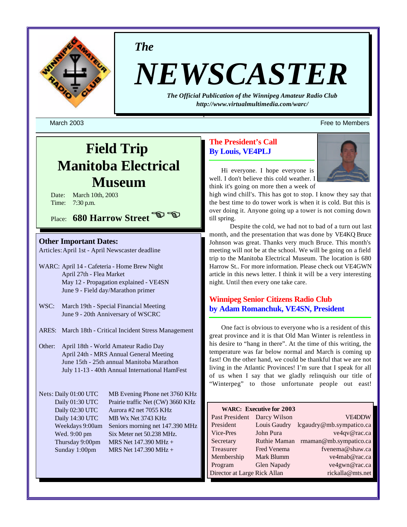

*The*

# *NEWSCASTER*

*The Official Publication of the Winnipeg Amateur Radio Club <http://www.virtualmultimedia.com/warc/>*

March 2003 Free to Members (1999) and the state of the state of the state of the state of the state of the state of the state of the state of the state of the state of the state of the state of the state of the state of th

# **Field Trip Manitoba Electrical Museum**

Date: March 10th, 2003 Time: 7:30 p.m.

Place: **680 Harrow Street E** 

## **Other Important Dates:**

Articles:April 1st - April Newscaster deadline

- WARC: April 14 Cafeteria Home Brew Night April 27th - Flea Market May 12 - Propagation explained - VE4SN June 9 - Field day/Marathon primer
- WSC: March 19th Special Financial Meeting June 9 - 20th Anniversary of WSCRC
- ARES: March 18th Critical Incident Stress Management
- Other: April 18th World Amateur Radio Day April 24th - MRS Annual General Meeting June 15th - 25th annual Manitoba Marathon July 11-13 - 40th Annual International HamFest

Nets: Daily 01:00 UTC MB Evening Phone net 3760 KHz Daily 01:30 UTC Prairie traffic Net (CW) 3660 KHz Daily 02:30 UTC Aurora #2 net 7055 KHz Daily 14:30 UTC MB Wx Net 3743 KHz Weekdays 9:00am Seniors morning net 147.390 MHz Wed. 9:00 pm Six Meter net 50.238 MHz. Thursday 9:00pm MRS Net  $147.390 \text{ MHz} +$ Sunday 1:00pm MRS Net  $147.390 \text{ MHz} +$ 

# **The President's Call By Louis, VE4PLJ**



Hi everyone. I hope everyone is well. I don't believe this cold weather. I think it's going on more then a week of

high wind chill's. This has got to stop. I know they say that the best time to do tower work is when it is cold. But this is over doing it. Anyone going up a tower is not coming down till spring.

 Despite the cold, we had not to bad of a turn out last month, and the presentation that was done by VE4KQ Bruce Johnson was great. Thanks very much Bruce. This month's meeting will not be at the school. We will be going on a field trip to the Manitoba Electrical Museum. The location is 680 Harrow St.. For more information. Please check out VE4GWN article in this news letter. I think it will be a very interesting night. Until then every one take care.

# **Winnipeg Senior Citizens Radio Club by Adam Romanchuk, VE4SN, President**

One fact is obvious to everyone who is a resident of this great province and it is that Old Man Winter is relentless in his desire to "hang in there". At the time of this writing, the temperature was far below normal and March is coming up fast! On the other hand, we could be thankful that we are not living in the Atlantic Provinces! I'm sure that I speak for all of us when I say that we gladly relinquish our title of "Winterpeg" to those unfortunate people out east!

| <b>WARC: Executive for 2003</b> |                     |                          |  |  |  |  |
|---------------------------------|---------------------|--------------------------|--|--|--|--|
| Past President                  | Darcy Wilson        | <b>VE4DDW</b>            |  |  |  |  |
| President                       | Louis Gaudry        | lcgaudry@mb.sympatico.ca |  |  |  |  |
| Vice-Pres                       | John Pura           | ve4qv@rac.ca             |  |  |  |  |
| Secretary                       | <b>Ruthie Maman</b> | rmaman@mb.sympatico.ca   |  |  |  |  |
| Treasurer                       | Fred Venema         | fvenema@shaw.ca          |  |  |  |  |
| Membership                      | Mark Blumm          | ve4mab@rac.ca            |  |  |  |  |
| Program                         | <b>Glen Napady</b>  | ve4gwn@rac.ca            |  |  |  |  |
| Director at Large Rick Allan    |                     | rickalla@mts.net         |  |  |  |  |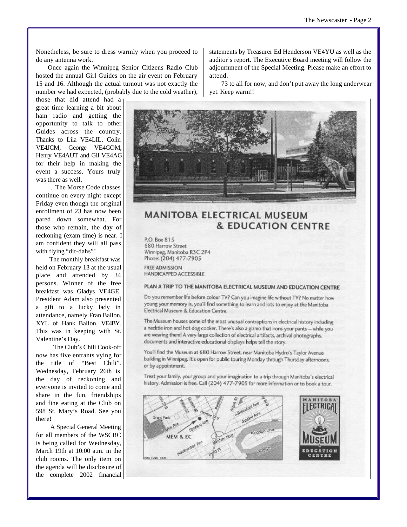Nonetheless, be sure to dress warmly when you proceed to do any antenna work.

Once again the Winnipeg Senior Citizens Radio Club hosted the annual Girl Guides on the air event on February 15 and 16. Although the actual turnout was not exactly the number we had expected, (probably due to the cold weather),

those that did attend had a great time learning a bit about ham radio and getting the opportunity to talk to other Guides across the country. Thanks to Lila VE4LIL, Colin VE4JCM, George VE4GOM, Henry VE4AUT and Gil VE4AG for their help in making the event a success. Yours truly was there as well.

. The Morse Code classes continue on every night except Friday even though the original enrollment of 23 has now been pared down somewhat. For those who remain, the day of reckoning (exam time) is near. I am confident they will all pass with flying "dit-dahs"!

The monthly breakfast was held on February 13 at the usual place and attended by 34 persons. Winner of the free breakfast was Gladys VE4GE. President Adam also presented a gift to a lucky lady in attendance, namely Fran Ballon, XYL of Hank Ballon, VE4BY. This was in keeping with St. Valentine's Day.

The Club's Chili Cook-off now has five entrants vying for the title of "Best Chili". Wednesday, February 26th is the day of reckoning and everyone is invited to come and share in the fun, friendships and fine eating at the Club on 598 St. Mary's Road. See you there!

A Special General Meeting for all members of the WSCRC is being called for Wednesday, March 19th at 10:00 a.m. in the club rooms. The only item on the agenda will be disclosure of the complete 2002 financial

statements by Treasurer Ed Henderson VE4YU as well as the auditor's report. The Executive Board meeting will follow the adjournment of the Special Meeting. Please make an effort to attend.

73 to all for now, and don't put away the long underwear yet. Keep warm!!



# **MANITOBA ELECTRICAL MUSEUM & EDUCATION CENTRE**

P.O. Box 815 680 Harrow Street Winnipeg, Manitoba R3C 2P4 Phone: (204) 477-7905

**FREE ADMISSION** HANDICAPPED ACCESSIBLE

#### PLAN A TRIP TO THE MANITOBA ELECTRICAL MUSEUM AND EDUCATION CENTRE

Do you remember life before colour TV? Can you imagine life without TV? No matter how young your memory is, you'll find something to learn and lots to enjoy at the Manitoba Electrical Museum & Education Centre.

The Museum houses some of the most unusual contraptions in electrical history including a necktie iron and hot dog cooker. There's also a gizmo that irons your pants -- while you are wearing them! A very large collection of electrical artifacts, archival photographs, documents and interactive educational displays helps tell the story.

You'll find the Museum at 680 Harrow Street, near Manitoba Hydro's Taylor Avenue building in Winnipeg. It's open for public touring Monday through Thursday afternoons, or by appointment.

Treat your family, your group and your imagination to a trip through Manitoba's electrical history. Admission is free. Call (204) 477-7905 for more information or to book a tour.

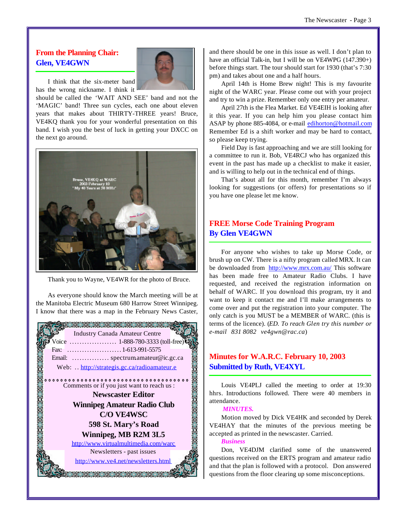# **From the Planning Chair: Glen, VE4GWN**



I think that the six-meter band has the wrong nickname. I think it

should be called the 'WAIT AND SEE' band and not the 'MAGIC' band! Three sun cycles, each one about eleven years that makes about THIRTY-THREE years! Bruce, VE4KQ thank you for your wonderful presentation on this band. I wish you the best of luck in getting your DXCC on the next go around.



Thank you to Wayne, VE4WR for the photo of Bruce.

As everyone should know the March meeting will be at the Manitoba Electric Museum 680 Harrow Street Winnipeg. I know that there was a map in the February News Caster,



and there should be one in this issue as well. I don't plan to have an official Talk-in, but I will be on VE4WPG (147.390+) before things start. The tour should start for 1930 (that's 7:30 pm) and takes about one and a half hours.

April 14th is Home Brew night! This is my favourite night of the WARC year. Please come out with your project and try to win a prize. Remember only one entry per amateur.

April 27th is the Flea Market. Ed VE4EIH is looking after it this year. If you can help him you please contact him ASAP by phone 885-4084, or e-mail edihorton@hotmail.com Remember Ed is a shift worker and may be hard to contact, so please keep trying.

Field Day is fast approaching and we are still looking for a committee to run it. Bob, VE4RCJ who has organized this event in the past has made up a checklist to make it easier, and is willing to help out in the technical end of things.

That's about all for this month, remember I'm always looking for suggestions (or offers) for presentations so if you have one please let me know.

# **FREE Morse Code Training Program By Glen VE4GWN**

For anyone who wishes to take up Morse Code, or brush up on CW. There is a nifty program called MRX. It can be downloaded from <http://www.mrx.com.au/> This software has been made free to Amateur Radio Clubs. I have requested, and received the registration information on behalf of WARC. If you download this program, try it and want to keep it contact me and I'll make arrangements to come over and put the registration into your computer. The only catch is you MUST be a MEMBER of WARC. (this is terms of the licence). (*ED. To reach Glen try this number or e-mail 831 8082 ve4gwn@rac.ca*)

# **Minutes for W.A.R.C. February 10, 2003 Submitted by Ruth, VE4XYL**

Louis VE4PLJ called the meeting to order at 19:30 hhrs. Introductions followed. There were 40 members in attendance.

#### *MINUTES.*

Motion moved by Dick VE4HK and seconded by Derek VE4HAY that the minutes of the previous meeting be accepted as printed in the newscaster. Carried.

#### *Business*

Don, VE4DJM clarified some of the unanswered questions received on the ERTS program and amateur radio and that the plan is followed with a protocol. Don answered questions from the floor clearing up some misconceptions.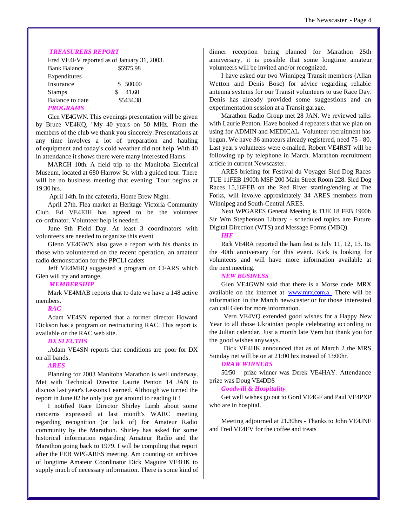#### *TREASURERS REPORT*

|                     | Fred VE4FV reported as of January 31, 2003. |  |  |
|---------------------|---------------------------------------------|--|--|
| <b>Bank Balance</b> | \$5975.98                                   |  |  |
| Expenditures        |                                             |  |  |
| Insurance           | \$500.00                                    |  |  |
| <b>Stamps</b>       | 41.60<br>S                                  |  |  |
| Balance to date     | \$5434.38                                   |  |  |
| <b>PROCRAMS</b>     |                                             |  |  |

#### *PROGRAMS*

Glen VE4GWN. This evenings presentation will be given by Bruce VE4KQ, "My 40 years on 50 MHz. From the members of the club we thank you sincerely. Presentations at any time involves a lot of preparation and hauling of equipment and today's cold weather did not help. With 40 in attendance it shows there were many interested Hams.

MARCH 10th. A field trip to the Manitoba Electrical Museum, located at 680 Harrow St. with a guided tour. There will be no business meeting that evening. Tour begins at 19:30 hrs.

April 14th.In the cafeteria, Home Brew Night.

April 27th. Flea market at Heritage Victoria Community Club. Ed VE4EIH has agreed to be the volunteer co-ordinator. Volunteer help is needed.

June 9th Field Day. At least 3 coordinators with volunteers are needed to organize this event

Glenn VE4GWN also gave a report with his thanks to those who volunteered on the recent operation, an amateur radio demonstration for the PPCLI cadets

Jeff VE4MBQ suggested a program on CFARS which Glen will try and arrange.

#### *MEMBERSHIP*

Mark VE4MAB reports that to date we have a 148 active members.

#### *RAC*

Adam VE4SN reported that a former director Howard Dickson has a program on restructuring RAC. This report is available on the RAC web site.

#### *DX SLEUTHS*

.Adam VE4SN reports that conditions are poor for DX on all bands.

#### *ARES*

Planning for 2003 Manitoba Marathon is well underway. Met with Technical Director Laurie Penton 14 JAN to discuss last year's Lessons Learned. Although we turned the report in June 02 he only just got around to reading it !

I notified Race Director Shirley Lumb about some concerns expressed at last month's WARC meeting regarding recognition (or lack of) for Amateur Radio community by the Marathon. Shirley has asked for some historical information regarding Amateur Radio and the Marathon going back to 1979. I will be compiling that report after the FEB WPGARES meeting. Am counting on archives of longtime Amateur Coordinator Dick Maguire VE4HK to supply much of necessary information. There is some kind of dinner reception being planned for Marathon 25th anniversary, it is possible that some longtime amateur volunteers will be invited and/or recognized.

I have asked our two Winnipeg Transit members (Allan Wetton and Denis Bosc) for advice regarding reliable antenna systems for our Transit volunteers to use Race Day. Denis has already provided some suggestions and an experimentation session at a Transit garage.

Marathon Radio Group met 28 JAN. We reviewed talks with Laurie Penton. Have booked 4 repeaters that we plan on using for ADMIN and MEDICAL. Volunteer recruitment has begun. We have 36 amateurs already registered, need 75 - 80. Last year's volunteers were e-mailed. Robert VE4RST will be following up by telephone in March. Marathon recruitment article in current Newscaster.

ARES briefing for Festival du Voyager Sled Dog Races TUE 11FEB 1900h MSF 200 Main Street Room 228. Sled Dog Races 15,16FEB on the Red River starting/ending at The Forks, will involve approximately 34 ARES members from Winnipeg and South-Central ARES.

Next WPGARES General Meeting is TUE 18 FEB 1900h Sir Wm Stephenson Library - scheduled topics are Future Digital Direction (WTS) and Message Forms (MBQ).

*IHF*

Rick VE4RA reported the ham fest is July 11, 12, 13. Its the 40th anniversary for this event. Rick is looking for volunteers and will have more information available at the next meeting.

#### *NEW BUSINESS*

Glen VE4GWN said that there is a Morse code MRX available on the internet at www.mrx.com.a There will be information in the March newscaster or for those interested can call Glen for more information.

Vern VE4VQ extended good wishes for a Happy New Year to all those Ukrainian people celebrating according to the Julian calendar. Just a month late Vern but thank you for the good wishes anyways.

Dick VE4HK announced that as of March 2 the MRS Sunday net will be on at 21:00 hrs instead of 13:00hr.

#### *DRAW WINNERS*

50/50 prize winner was Derek VE4HAY. Attendance prize was Doug VE4DDS

#### *Goodwill & Hospitality*

Get well wishes go out to Gord VE4GF and Paul VE4PXP who are in hospital.

Meeting adjourned at 21.30hrs - Thanks to John VE4JNF and Fred VE4FV for the coffee and treats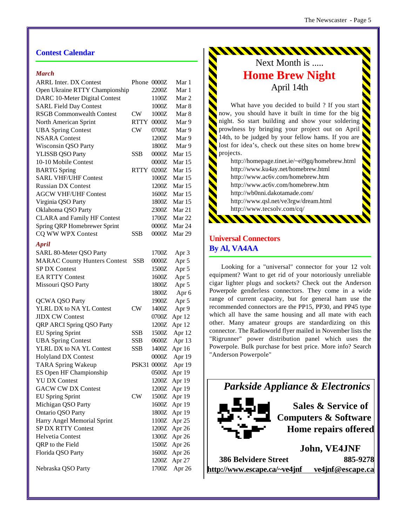## **Contest Calendar**

#### *March*

| <b>ARRL Inter. DX Contest</b>       | Phone 0000Z |         | Mar 1        |
|-------------------------------------|-------------|---------|--------------|
| Open Ukraine RTTY Championship      |             | 2200Z   | Mar 1        |
| DARC 10-Meter Digital Contest       |             | 1100Z   | Mar 2        |
| <b>SARL Field Day Contest</b>       |             | 1000Z   | Mar 8        |
| <b>RSGB Commonwealth Contest</b>    | CW          | 1000Z   | Mar 8        |
| North American Sprint               | <b>RTTY</b> | 0000Z   | Mar 9        |
| <b>UBA Spring Contest</b>           | <b>CW</b>   | 0700Z   | Mar 9        |
| <b>NSARA</b> Contest                |             | 1200Z   | Mar 9        |
| <b>Wisconsin QSO Party</b>          |             | 1800Z   | Mar 9        |
| <b>YLISSB QSO Party</b>             | SSB         | 0000Z   | Mar 15       |
| 10-10 Mobile Contest                |             | 0000Z   | Mar 15       |
| <b>BARTG</b> Spring                 | RTTY        | 0200Z   | Mar 15       |
| <b>SARL VHF/UHF Contest</b>         |             | 1000Z   | Mar 15       |
| <b>Russian DX Contest</b>           |             | 1200Z   | Mar 15       |
| <b>AGCW VHF/UHF Contest</b>         |             | 1600Z   | Mar 15       |
| Virginia QSO Party                  |             | 1800Z   | Mar 15       |
| Oklahoma QSO Party                  |             | 2300Z   | Mar 21       |
| <b>CLARA</b> and Family HF Contest  |             | 1700Z   | Mar 22       |
| Spring QRP Homebrewer Sprint        |             | 0000Z   | Mar 24       |
| CQ WW WPX Contest                   | SSB         | 0000Z   | Mar 29       |
|                                     |             |         |              |
| April                               |             |         |              |
| SARL 80-Meter QSO Party             |             | 1700Z   | Apr 3        |
| <b>MARAC County Hunters Contest</b> | SSB         | 0000Z   | Apr 5        |
| <b>SP DX Contest</b>                |             | 1500Z   | Apr 5        |
| <b>EA RTTY Contest</b>              |             | 1600Z   | Apr 5        |
| Missouri QSO Party                  |             | 1800Z   | Apr 5        |
|                                     |             | 1800Z   | Apr 6        |
| <b>QCWA QSO Party</b>               |             | 1900Z   | Apr 5        |
| YLRL DX to NA YL Contest            | <b>CW</b>   | 1400Z   | Apr 9        |
| <b>JIDX CW Contest</b>              |             | 0700Z   | Apr 12       |
| QRP ARCI Spring QSO Party           |             | 1200Z   | Apr 12       |
| <b>EU Spring Sprint</b>             | <b>SSB</b>  | 1500Z   | Apr 12       |
| <b>UBA Spring Contest</b>           | <b>SSB</b>  | 0600Z   | Apr 13       |
| YLRL DX to NA YL Contest            | <b>SSB</b>  | 1400Z   | Apr 16       |
| <b>Holyland DX Contest</b>          |             | 0000Z   | Apr 19       |
| <b>TARA Spring Wakeup</b>           | PSK31 0000Z |         | Apr 19       |
| ES Open HF Championship             |             | $0500Z$ | Apr 19       |
| <b>YU DX Contest</b>                |             |         | 1200Z Apr 19 |
| <b>GACW CW DX Contest</b>           |             |         | 1200Z Apr 19 |
| <b>EU Spring Sprint</b>             | <b>CW</b>   |         | 1500Z Apr 19 |
| Michigan QSO Party                  |             |         | 1600Z Apr 19 |
| Ontario QSO Party                   |             |         | 1800Z Apr 19 |
| Harry Angel Memorial Sprint         |             |         | 1100Z Apr 25 |
| <b>SP DX RTTY Contest</b>           |             |         | 1200Z Apr 26 |
| Helvetia Contest                    |             |         | 1300Z Apr 26 |
| QRP to the Field                    |             |         | 1500Z Apr 26 |
| Florida QSO Party                   |             |         | 1600Z Apr 26 |
|                                     |             |         | 1200Z Apr 27 |
| Nebraska QSO Party                  |             |         | 1700Z Apr 26 |

# Next Month is ..... **Home Brew Night** April 14th

What have you decided to build ? If you start now, you should have it built in time for the big night. So start building and show your soldering prowlness by bringing your project out on April 14th, to be judged by your fellow hams. If you are lost for idea's, check out these sites on home brew projects.

<http://homepage.tinet.ie/~ei9gq/homebrew.html> <http://www.ku4ay.net/homebrew.html> <http://www.ac6v.com/homebrew.htm> <http://www.ac6v.com/homebrew.htm> <http://wb0nni.dakotamade.com/> <http://www.qsl.net/ve3rgw/dream.html> <http://www.tecsolv.com/cq/> <u> AMANANAN</u>

# **Universal Connectors By Al, VA4AA**

Looking for a "universal" connector for your 12 volt equipment? Want to get rid of your notoriously unreliable cigar lighter plugs and sockets? Check out the Anderson Powerpole genderless connectors. They come in a wide range of current capacity, but for general ham use the recommended connectors are the PP15, PP30, and PP45 type which all have the same housing and all mate with each other. Many amateur groups are standardizing on this connector. The Radioworld flyer mailed in November lists the "Rigrunner" power distribution panel which uses the Powerpole. Bulk purchase for best price. More info? Search "Anderson Powerpole"

*Parkside Appliance & Electronics*



**Sales & Service of Computers & Software Home repairs offered**

**386 Belvidere Street 885-9278 <http://www.escape.ca/~ve4jnf> ve4jnf@escape.ca**

**John, VE4JNF**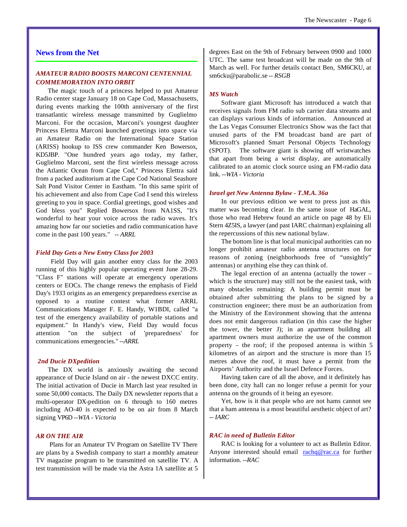#### **News from the Net**

#### *AMATEUR RADIO BOOSTS MARCONI CENTENNIAL COMMEMORATION INTO ORBIT*

The magic touch of a princess helped to put Amateur Radio center stage January 18 on Cape Cod, Massachusetts, during events marking the 100th anniversary of the first transatlantic wireless message transmitted by Guglielmo Marconi. For the occasion, Marconi's youngest daughter Princess Elettra Marconi launched greetings into space via an Amateur Radio on the International Space Station (ARISS) hookup to ISS crew commander Ken Bowersox, KD5JBP. "One hundred years ago today, my father, Guglielmo Marconi, sent the first wireless message across the Atlantic Ocean from Cape Cod," Princess Elettra said from a packed auditorium at the Cape Cod National Seashore Salt Pond Visitor Center in Eastham. "In this same spirit of his achievement and also from Cape Cod I send this wireless greeting to you in space. Cordial greetings, good wishes and God bless you" Replied Bowersox from NA1SS, "It's wonderful to hear your voice across the radio waves. It's amazing how far our societies and radio communication have come in the past 100 years." *-- ARRL*

#### *Field Day Gets a New Entry Class for 2003*

 Field Day will gain another entry class for the 2003 running of this highly popular operating event June 28-29. "Class F" stations will operate at emergency operations centers or EOCs. The change renews the emphasis of Field Day's 1933 origins as an emergency preparedness exercise as opposed to a routine contest what former ARRL Communications Manager F. E. Handy, W1BDI, called "a test of the emergency availability of portable stations and equipment." In Handy's view, Field Day would focus attention "on the subject of 'preparedness' for communications emergencies." *--ARRL*

#### *2nd Ducie DXpedition*

The DX world is anxiously awaiting the second appearance of Ducie Island on air - the newest DXCC entity. The initial activation of Ducie in March last year resulted in some 50,000 contacts. The Daily DX newsletter reports that a multi-operator DX-pedition on 6 through to 160 metres including AO-40 is expected to be on air from 8 March signing VP6D *--WIA - Victoria*

#### *AR ON THE AIR*

 Plans for an Amateur TV Program on Satellite TV There are plans by a Swedish company to start a monthly amateur TV magazine program to be transmitted on satellite TV. A test transmission will be made via the Astra 1A satellite at 5

degrees East on the 9th of February between 0900 and 1000 UTC. The same test broadcast will be made on the 9th of March as well. For further details contact Ben, SM6CKU, at sm6cku@parabolic.se *-- RSGB*

#### *MS Watch*

Software giant Microsoft has introduced a watch that receives signals from FM radio sub carrier data streams and can displays various kinds of information. Announced at the Las Vegas Consumer Electronics Show was the fact that unused parts of the FM broadcast band are part of Microsoft's planned Smart Personal Objects Technology (SPOT). The software giant is showing off wristwatches that apart from being a wrist display, are automatically calibrated to an atomic clock source using an FM-radio data link. *--WIA - Victoria*

#### *Israel get New Antenna Bylaw - T.M.A. 36a*

In our previous edition we went to press just as this matter was becoming clear. In the same issue of HaGAL, those who read Hebrew found an article on page 48 by Eli Stern 4Z5IS, a lawyer (and past IARC chairman) explaining all the repercussions of this new national bylaw.

The bottom line is that local municipal authorities can no longer prohibit amateur radio antenna structures on for reasons of zoning (neighborhoods free of "unsightly" antennas) or anything else they can think of.

The legal erection of an antenna (actually the tower – which is the structure) may still not be the easiest task, with many obstacles remaining: A building permit must be obtained after submitting the plans to be signed by a construction engineer; there must be an authorization from the Ministry of the Environment showing that the antenna does not emit dangerous radiation (in this case the higher the tower, the better J); in an apartment building all apartment owners must authorize the use of the common property – the roof; if the proposed antenna is within 5 kilometres of an airport and the structure is more than 15 metres above the roof, it must have a permit from the Airports' Authority and the Israel Defence Forces.

Having taken care of all the above, and it definitely has been done, city hall can no longer refuse a permit for your antenna on the grounds of it being an eyesore.

Yet, how is it that people who are not hams cannot see that a ham antenna is a most beautiful aesthetic object of art? *-- IARC*

#### *RAC in need of Bulletin Editor*

RAC is looking for a volunteer to act as Bulletin Editor. Anyone interested should email rachq@rac.ca for further information. *--RAC*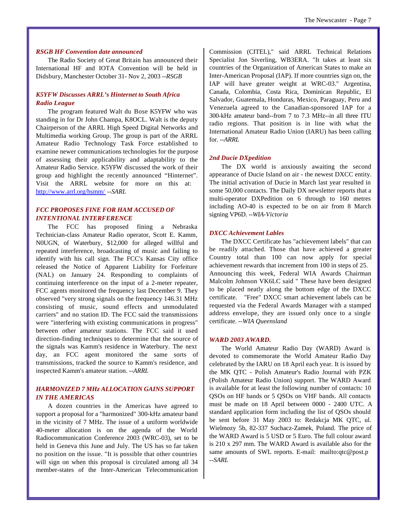#### *RSGB HF Convention date announced*

The Radio Society of Great Britain has announced their International HF and IOTA Convention will be held in Didsbury, Manchester October 31- Nov 2, 2003 *--RSGB*

#### *K5YFW Discusses ARRL's Hinternet to South Africa Radio League*

The program featured Walt du Bose K5YFW who was standing in for Dr John Champa, K8OCL. Walt is the deputy Chairperson of the ARRL High Speed Digital Networks and Multimedia working Group. The group is part of the ARRL Amateur Radio Technology Task Force established to examine newer communications technologies for the purpose of assessing their applicability and adaptability to the Amateur Radio Service. K5YFW discussed the work of their group and highlight the recently announced "Hinternet". Visit the ARRL website for more on this at: <http://www.arrl.org/hsmm/> *--SARL*

#### *FCC PROPOSES FINE FOR HAM ACCUSED OF INTENTIONAL INTERFERENCE*

The FCC has proposed fining a Nebraska Technician-class Amateur Radio operator, Scott E. Kamm, N0UGN, of Waterbury, \$12,000 for alleged willful and repeated interference, broadcasting of music and failing to identify with his call sign. The FCC's Kansas City office released the Notice of Apparent Liability for Forfeiture (NAL) on January 24. Responding to complaints of continuing interference on the input of a 2-meter repeater, FCC agents monitored the frequency last December 9. They observed "very strong signals on the frequency 146.31 MHz consisting of music, sound effects and unmodulated carriers" and no station ID. The FCC said the transmissions were "interfering with existing communications in progress" between other amateur stations. The FCC said it used direction-finding techniques to determine that the source of the signals was Kamm's residence in Waterbury. The next day, an FCC agent monitored the same sorts of transmissions, tracked the source to Kamm's residence, and inspected Kamm's amateur station. *--ARRL*

#### *HARMONIZED 7 MHz ALLOCATION GAINS SUPPORT IN THE AMERICAS*

A dozen countries in the Americas have agreed to support a proposal for a "harmonized" 300-kHz amateur band in the vicinity of 7 MHz. The issue of a uniform worldwide 40-meter allocation is on the agenda of the World Radiocommunication Conference 2003 (WRC-03), set to be held in Geneva this June and July. The US has so far taken no position on the issue. "It is possible that other countries will sign on when this proposal is circulated among all 34 member-states of the Inter-American Telecommunication Commission (CITEL)," said ARRL Technical Relations Specialist Jon Siverling, WB3ERA. "It takes at least six countries of the Organization of American States to make an Inter-American Proposal (IAP). If more countries sign on, the IAP will have greater weight at WRC-03." Argentina, Canada, Colombia, Costa Rica, Dominican Republic, El Salvador, Guatemala, Honduras, Mexico, Paraguay, Peru and Venezuela agreed to the Canadian-sponsored IAP for a 300-kHz amateur band--from 7 to 7.3 MHz--in all three ITU radio regions. That position is in line with what the International Amateur Radio Union (IARU) has been calling for. *--ARRL*

#### *2nd Ducie DXpedition*

The DX world is anxiously awaiting the second appearance of Ducie Island on air - the newest DXCC entity. The initial activation of Ducie in March last year resulted in some 50,000 contacts. The Daily DX newsletter reports that a multi-operator DXPedition on 6 through to 160 metres including AO-40 is expected to be on air from 8 March signing VP6D. *--WIA-Victoria*

#### *DXCC Achievement Lables*

The DXCC Certificate has "achievement labels" that can be readily attached. Those that have achieved a greater Country total than 100 can now apply for special achievement rewards that increment from 100 in steps of 25. Announcing this week, Federal WIA Awards Chairman Malcolm Johnson VK6LC said " These have been designed to be placed neatly along the bottom edge of the DXCC certificate. "Free" DXCC smart achievement labels can be requested via the Federal Awards Manager with a stamped address envelope, they are issued only once to a single certificate. *--WIA Queensland*

#### *WARD 2003 AWARD.*

The World Amateur Radio Day (WARD) Award is devoted to commemorate the World Amateur Radio Day celebrated by the IARU on 18 April each year. It is issued by the MK QTC - Polish Amateur's Radio Journal with PZK (Polish Amateur Radio Union) support. The WARD Award is available for at least the following number of contacts: 10 QSOs on HF bands or 5 QSOs on VHF bands. All contacts must be made on 18 April between 0000 - 2400 UTC. A standard application form including the list of QSOs should be sent before 31 May 2003 to: Redakcja MK QTC, ul. Wielmozy 5b, 82-337 Suchacz-Zamek, Poland. The price of the WARD Award is 5 USD or 5 Euro. The full colour award is 210 x 297 mm. The WARD Award is available also for the same amounts of SWL reports. E-mail: <mailto:qtc@post.p> *--SARL*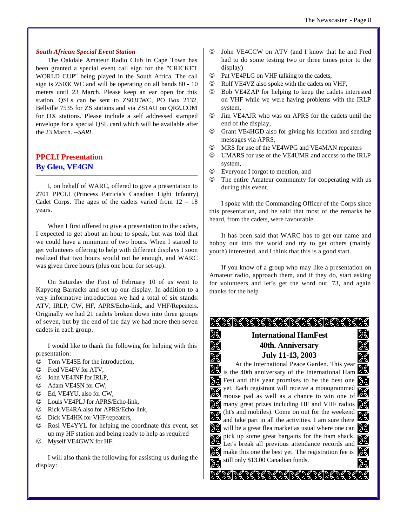#### *South African Special Event Station*

The Oakdale Amateur Radio Club in Cape Town has been granted a special event call sign for the "CRICKET WORLD CUP" being played in the South Africa. The call sign is ZS03CWC and will be operating on all bands 80 - 10 meters until 23 March. Please keep an ear open for this station. QSLs can be sent to ZS03CWC, PO Box 2132, Bellville 7535 for ZS stations and via ZS1AU on QRZ.COM for DX stations. Please include a self addressed stamped envelope for a special QSL card which will be available after the 23 March. *--SARL*

# **PPCLI Presentation By Glen, VE4GN**

I, on behalf of WARC, offered to give a presentation to 2701 PPCLI (Princess Patricia's Canadian Light Infantry) Cadet Corps. The ages of the cadets varied from  $12 - 18$ years.

When I first offered to give a presentation to the cadets, I expected to get about an hour to speak, but was told that we could have a minimum of two hours. When I started to get volunteers offering to help with different displays I soon realized that two hours would not be enough, and WARC was given three hours (plus one hour for set-up).

On Saturday the First of February 10 of us went to Kapyong Barracks and set up our display. In addition to a very informative introduction we had a total of six stands: ATV, IRLP, CW, HF, APRS/Echo-link, and VHF/Repeaters. Originally we had 21 cadets broken down into three groups of seven, but by the end of the day we had more then seven cadets in each group.

I would like to thank the following for helping with this presentation:

- $\circledcirc$  Tom VE4SE for the introduction,
- $\circledcirc$  Fred VE4FV for ATV,
- $\circledcirc$  John VE4JNF for IRLP,
- $\circledcirc$  Adam VE4SN for CW,
- $\odot$  Ed. VE4YU, also for CW.
- $\circledcirc$  Louis VE4PLJ for APRS/Echo-link,
- $\circledcirc$  Rick VE4RA also for APRS/Echo-link,
- $\circledcirc$  Dick VE4HK for VHF/repeaters,
- $\circledcirc$  Rosi VE4YYL for helping me coordinate this event, set up my HF station and being ready to help as required
- $\circledcirc$  Myself VE4GWN for HF.

I will also thank the following for assisting us during the display:

- $\odot$  John VE4CCW on ATV (and I know that he and Fred had to do some testing two or three times prior to the display)
- $\circledcirc$  Pat VE4PLG on VHF talking to the cadets,
- $\odot$  Rolf VE4VZ also spoke with the cadets on VHF,
- $\odot$  Bob VE4ZAP for helping to keep the cadets interested on VHF while we were having problems with the IRLP system,
- $\circledcirc$  Jim VE4AJR who was on APRS for the cadets until the end of the display,
- $\circledcirc$  Grant VE4HGD also for giving his location and sending messages via APRS,
- $\odot$  MRS for use of the VE4WPG and VE4MAN repeaters
- $\odot$  UMARS for use of the VE4UMR and access to the IRLP system,
- $\odot$  Everyone I forgot to mention, and
- $\odot$  The entire Amateur community for cooperating with us during this event.

I spoke with the Commanding Officer of the Corps since this presentation, and he said that most of the remarks he heard, from the cadets, were favourable.

It has been said that WARC has to get our name and hobby out into the world and try to get others (mainly youth) interested, and I think that this is a good start.

If you know of a group who may like a presentation on Amateur radio, approach them, and if they do, start asking for volunteers and let's get the word out. 73, and again thanks for the help

# ><><><><>>><><><><><><><

 $\mathscr{L}$ 

X

# **International HamFest 40th. Anniversary July 11-13, 2003**

没

Ж

X 没 At the International Peace Garden. This year  $\sum_{i=1}^{n}$  is the 40th anniversary of the International Ham ेर्  $\geq$  Fest and this year promises to be the best one  $\geq$ yet. Each registrant will receive a monogrammed  $\mathscr{L}$ mouse pad as well as a chance to win one of **S** many great prizes including HF and VHF radios 33 (ht's and mobiles). Come on out for the weekend  $\mathscr{L}$ ेर् and take part in all the activities. I am sure there  $\frac{1}{2}$  will be a great flea market as usual where one can  $\frac{1}{2}$ pick up some great bargains for the ham shack. X ℁ Let's break all previous attendance records and  $\gg$  make this one the best yet. The registration fee is  $\gg$ still only \$13.00 Canadian funds. X ≵€

>{}{}{}{}{}{}}}}}}}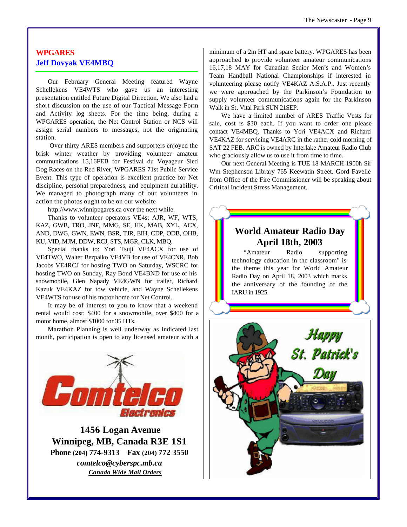# **WPGARES Jeff Dovyak VE4MBQ**

Our February General Meeting featured Wayne Schellekens VE4WTS who gave us an interesting presentation entitled Future Digital Direction. We also had a short discussion on the use of our Tactical Message Form and Activity log sheets. For the time being, during a WPGARES operation, the Net Control Station or NCS will assign serial numbers to messages, not the originating station.

 Over thirty ARES members and supporters enjoyed the brisk winter weather by providing volunteer amateur communications 15,16FEB for Festival du Voyageur Sled Dog Races on the Red River, WPGARES 71st Public Service Event. This type of operation is excellent practice for Net discipline, personal preparedness, and equipment durability. We managed to photograph many of our volunteers in action the photos ought to be on our website

<http://www.winnipegares.ca> over the next while.

Thanks to volunteer operators VE4s: AJR, WF, WTS, KAZ, GWB, TRO, JNF, MMG, SE, HK, MAB, XYL, ACX, AND, DWG, GWN, EWN, BSR, TJR, EIH, CDP, ODB, OHB, KU, VID, MJM, DDW, RCJ, STS, MGR, CLK, MBQ.

Special thanks to: Yori Tsuji VE4ACX for use of VE4TWO, Walter Bezpalko VE4VB for use of VE4CNR, Bob Jacobs VE4RCJ for hosting TWO on Saturday, WSCRC for hosting TWO on Sunday, Ray Bond VE4BND for use of his snowmobile, Glen Napady VE4GWN for trailer, Richard Kazuk VE4KAZ for tow vehicle, and Wayne Schellekens VE4WTS for use of his motor home for Net Control.

It may be of interest to you to know that a weekend rental would cost: \$400 for a snowmobile, over \$400 for a motor home, almost \$1000 for 35 HTs.

Marathon Planning is well underway as indicated last month, participation is open to any licensed amateur with a



 **1456 Logan Avenue Winnipeg, MB, Canada R3E 1S1 Phone (204) 774-9313 Fax (204) 772 3550** *comtelco@cyberspc.mb.ca Canada Wide Mail Orders*

minimum of a 2m HT and spare battery. WPGARES has been approached to provide volunteer amateur communications 16,17,18 MAY for Canadian Senior Men's and Women's Team Handball National Championships if interested in volunteering please notify VE4KAZ A.S.A.P.. Just recently we were approached by the Parkinson's Foundation to supply volunteer communications again for the Parkinson Walk in St. Vital Park SUN 21SEP.

We have a limited number of ARES Traffic Vests for sale, cost is \$30 each. If you want to order one please contact VE4MBQ. Thanks to Yori VE4ACX and Richard VE4KAZ for servicing VE4ARC in the rather cold morning of SAT 22 FEB. ARC is owned by Interlake Amateur Radio Club who graciously allow us to use it from time to time.

Our next General Meeting is TUE 18 MARCH 1900h Sir Wm Stephenson Library 765 Keewatin Street. Gord Favelle from Office of the Fire Commissioner will be speaking about Critical Incident Stress Management.



"Amateur Radio supporting technology education in the classroom" is the theme this year for World Amateur Radio Day on April 18, 2003 which marks the anniversary of the founding of the IARU in 1925.